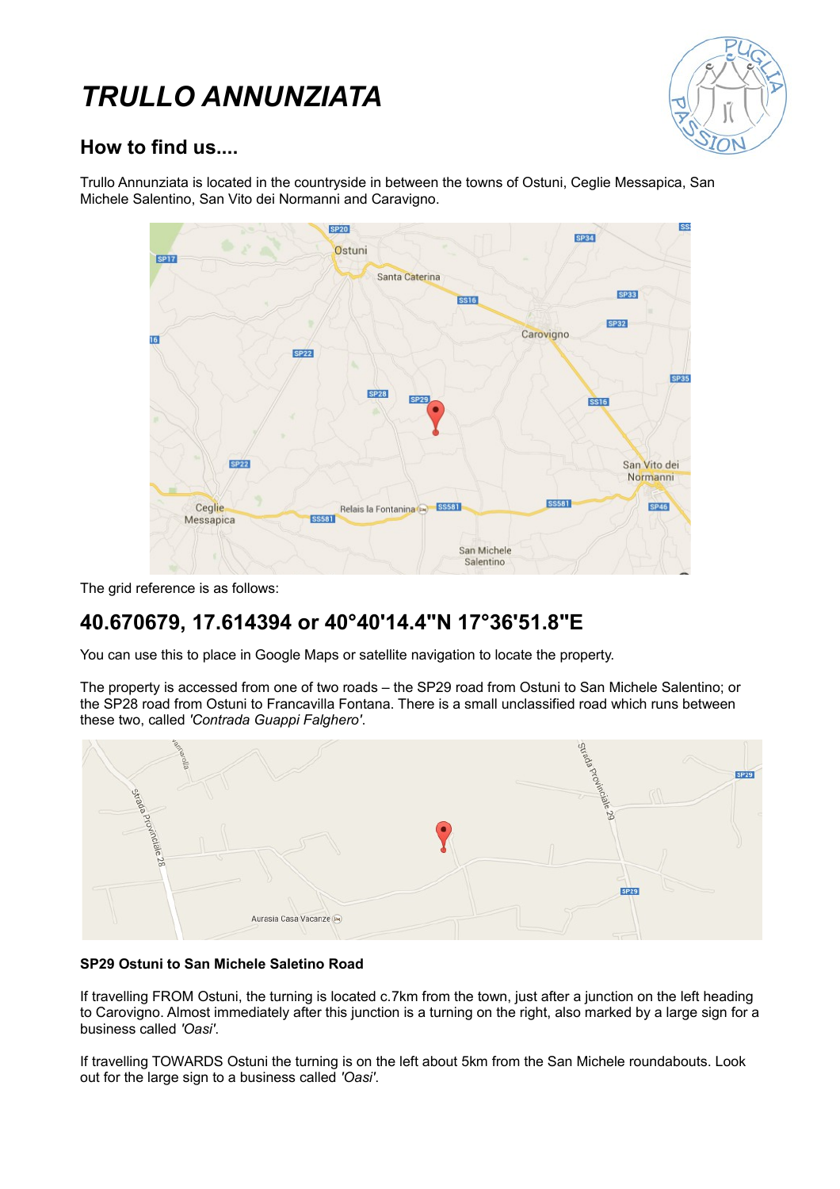# *TRULLO ANNUNZIATA*



## **How to find us....**

Trullo Annunziata is located in the countryside in between the towns of Ostuni, Ceglie Messapica, San Michele Salentino, San Vito dei Normanni and Caravigno.

| <b>SP17</b>                         | <b>SP20</b><br>Ostuni                   | <b>SP34</b>                             | <b>SS</b> |
|-------------------------------------|-----------------------------------------|-----------------------------------------|-----------|
|                                     | Santa Caterina                          |                                         |           |
|                                     | <b>SS16</b>                             | <b>SP33</b>                             |           |
| 16                                  |                                         | <b>SP32</b><br>Carovigno                |           |
| <b>SP22</b>                         |                                         | <b>SP35</b>                             |           |
|                                     | <b>SP28</b><br><b>SP29</b>              | <b>SS16</b>                             |           |
| <b>SP22</b>                         |                                         | San Vito dei                            |           |
| Ceglie<br>Messapica<br><b>SS581</b> | <b>SS581</b><br>Relais la Fontanina (E) | Normanni<br><b>SS581</b><br><b>SP46</b> |           |
|                                     | San Michele<br>Salentino                |                                         |           |

The grid reference is as follows:

# **40.670679, 17.614394 or 40°40'14.4"N 17°36'51.8"E**

You can use this to place in Google Maps or satellite navigation to locate the property.

The property is accessed from one of two roads – the SP29 road from Ostuni to San Michele Salentino; or the SP28 road from Ostuni to Francavilla Fontana. There is a small unclassified road which runs between these two, called *'Contrada Guappi Falghero'*.



#### **SP29 Ostuni to San Michele Saletino Road**

If travelling FROM Ostuni, the turning is located c.7km from the town, just after a junction on the left heading to Carovigno. Almost immediately after this junction is a turning on the right, also marked by a large sign for a business called *'Oasi'*.

If travelling TOWARDS Ostuni the turning is on the left about 5km from the San Michele roundabouts. Look out for the large sign to a business called *'Oasi'*.